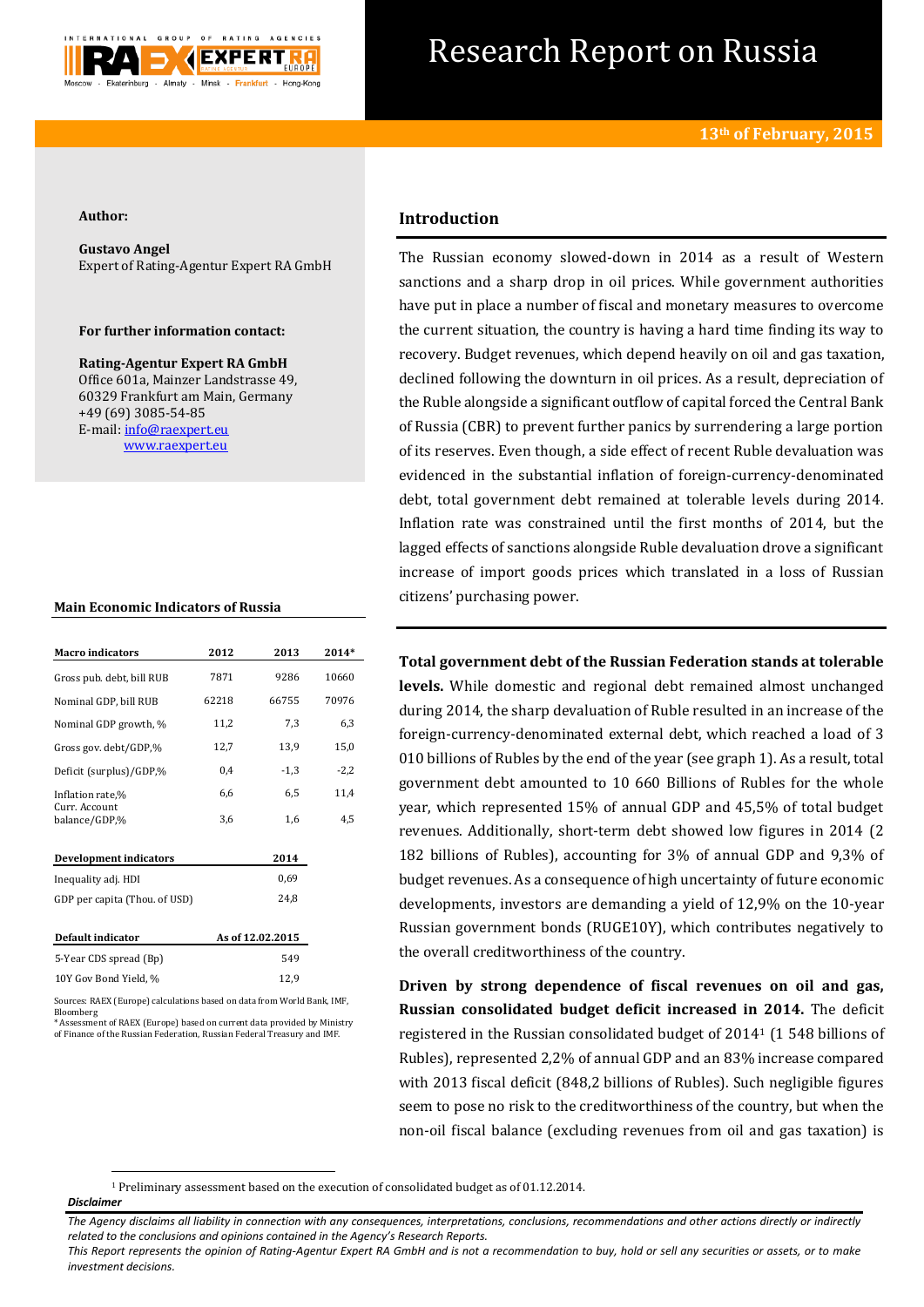

# Research Report on Russia

### **Author:**

**Gustavo Angel**  Expert of Rating-Agentur Expert RA GmbH

## **For further information contact:**

**Rating-Agentur Expert RA GmbH** Office 601a, Mainzer Landstrasse 49, 60329 Frankfurt am Main, Germany +49 (69) 3085-54-85 E-mail[: info@raexpert.eu](mailto:info@raexpert.eu) [www.raexpert.eu](http://raexpert.eu/)

## **Main Economic Indicators of Russia**

| <b>Macro</b> indicators        | 2012  | 2013             | 2014*  |
|--------------------------------|-------|------------------|--------|
| Gross pub. debt, bill RUB      | 7871  | 9286             | 10660  |
| Nominal GDP, bill RUB          | 62218 | 66755            | 70976  |
| Nominal GDP growth, %          | 11,2  | 7,3              | 6,3    |
| Gross gov. debt/GDP,%          | 12,7  | 13,9             | 15,0   |
| Deficit (surplus)/GDP,%        | 0,4   | $-1,3$           | $-2,2$ |
| Inflation rate,%               | 6,6   | 6,5              | 11,4   |
| Curr. Account<br>balance/GDP,% | 3,6   | 1,6              | 4,5    |
| Development indicators         |       | 2014             |        |
| Inequality adj. HDI            |       | 0.69             |        |
| GDP per capita (Thou. of USD)  |       | 24,8             |        |
| Default indicator              |       | As of 12.02.2015 |        |
| 5-Year CDS spread (Bp)         |       | 549              |        |
| 10Y Gov Bond Yield, %          |       | 12,9             |        |

Sources: RAEX (Europe) calculations based on data from World Bank, IMF, Bloomberg \* Assessment of RAEX (Europe) based on current data provided by Ministry

of Finance of the Russian Federation, Russian Federal Treasury and IMF.

## **Introduction**

The Russian economy slowed-down in 2014 as a result of Western sanctions and a sharp drop in oil prices. While government authorities have put in place a number of fiscal and monetary measures to overcome the current situation, the country is having a hard time finding its way to recovery. Budget revenues, which depend heavily on oil and gas taxation, declined following the downturn in oil prices. As a result, depreciation of the Ruble alongside a significant outflow of capital forced the Central Bank of Russia (CBR) to prevent further panics by surrendering a large portion of its reserves. Even though, a side effect of recent Ruble devaluation was evidenced in the substantial inflation of foreign-currency-denominated debt, total government debt remained at tolerable levels during 2014. Inflation rate was constrained until the first months of 2014, but the lagged effects of sanctions alongside Ruble devaluation drove a significant increase of import goods prices which translated in a loss of Russian citizens' purchasing power.

## **Total government debt of the Russian Federation stands at tolerable**

**levels.** While domestic and regional debt remained almost unchanged during 2014, the sharp devaluation of Ruble resulted in an increase of the foreign-currency-denominated external debt, which reached a load of 3 010 billions of Rubles by the end of the year (see graph 1). As a result, total government debt amounted to 10 660 Billions of Rubles for the whole year, which represented 15% of annual GDP and 45,5% of total budget revenues. Additionally, short-term debt showed low figures in 2014 (2 182 billions of Rubles), accounting for 3% of annual GDP and 9,3% of budget revenues. As a consequence of high uncertainty of future economic developments, investors are demanding a yield of 12,9% on the 10-year Russian government bonds (RUGE10Y), which contributes negatively to the overall creditworthiness of the country.

**Driven by strong dependence of fiscal revenues on oil and gas, Russian consolidated budget deficit increased in 2014.** The deficit registered in the Russian consolidated budget of 2014<sup>1</sup> (1 548 billions of Rubles), represented 2,2% of annual GDP and an 83% increase compared with 2013 fiscal deficit (848,2 billions of Rubles). Such negligible figures seem to pose no risk to the creditworthiness of the country, but when the non-oil fiscal balance (excluding revenues from oil and gas taxation) is

<sup>1</sup> Preliminary assessment based on the execution of consolidated budget as of 01.12.2014.

## *Disclaimer*

**.** 

*The Agency disclaims all liability in connection with any consequences, interpretations, conclusions, recommendations and other actions directly or indirectly related to the conclusions and opinions contained in the Agency's Research Reports.*

*This Report represents the opinion of Rating-Agentur Expert RA GmbH and is not a recommendation to buy, hold or sell any securities or assets, or to make investment decisions.*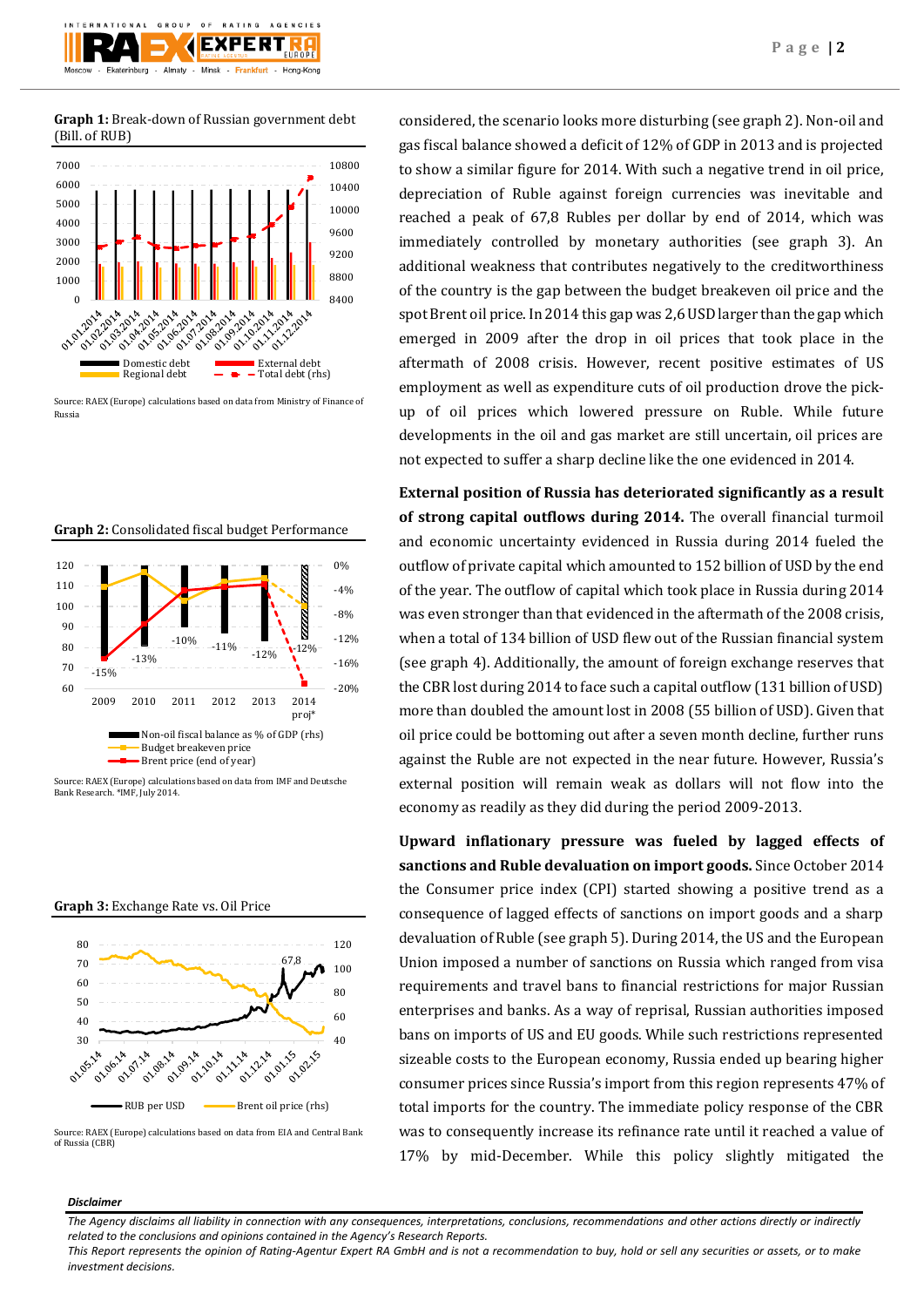**Graph 1:** Break-down of Russian government debt (Bill. of RUB)



Source: RAEX (Europe) calculations based on data from Ministry of Finance of Russia





Source: RAEX (Europe) calculations based on data from IMF and Deutsche Bank Research. \*IMF, July 2014.





Source: RAEX (Europe) calculations based on data from EIA and Central Bank of Russia (CBR)

considered, the scenario looks more disturbing (see graph 2). Non-oil and gas fiscal balance showed a deficit of 12% of GDP in 2013 and is projected to show a similar figure for 2014. With such a negative trend in oil price, depreciation of Ruble against foreign currencies was inevitable and reached a peak of 67,8 Rubles per dollar by end of 2014, which was immediately controlled by monetary authorities (see graph 3). An additional weakness that contributes negatively to the creditworthiness of the country is the gap between the budget breakeven oil price and the spot Brent oil price. In 2014 this gap was 2,6 USD larger than the gap which emerged in 2009 after the drop in oil prices that took place in the aftermath of 2008 crisis. However, recent positive estimates of US employment as well as expenditure cuts of oil production drove the pickup of oil prices which lowered pressure on Ruble. While future developments in the oil and gas market are still uncertain, oil prices are not expected to suffer a sharp decline like the one evidenced in 2014.

**External position of Russia has deteriorated significantly as a result of strong capital outflows during 2014.** The overall financial turmoil and economic uncertainty evidenced in Russia during 2014 fueled the outflow of private capital which amounted to 152 billion of USD by the end of the year. The outflow of capital which took place in Russia during 2014 was even stronger than that evidenced in the aftermath of the 2008 crisis, when a total of 134 billion of USD flew out of the Russian financial system (see graph 4). Additionally, the amount of foreign exchange reserves that the CBR lost during 2014 to face such a capital outflow (131 billion of USD) more than doubled the amount lost in 2008 (55 billion of USD). Given that oil price could be bottoming out after a seven month decline, further runs against the Ruble are not expected in the near future. However, Russia's external position will remain weak as dollars will not flow into the economy as readily as they did during the period 2009-2013.

**Upward inflationary pressure was fueled by lagged effects of sanctions and Ruble devaluation on import goods.** Since October 2014 the Consumer price index (CPI) started showing a positive trend as a consequence of lagged effects of sanctions on import goods and a sharp devaluation of Ruble (see graph 5). During 2014, the US and the European Union imposed a number of sanctions on Russia which ranged from visa requirements and travel bans to financial restrictions for major Russian enterprises and banks. As a way of reprisal, Russian authorities imposed bans on imports of US and EU goods. While such restrictions represented sizeable costs to the European economy, Russia ended up bearing higher consumer prices since Russia's import from this region represents 47% of total imports for the country. The immediate policy response of the CBR was to consequently increase its refinance rate until it reached a value of 17% by mid-December. While this policy slightly mitigated the

### *Disclaimer*

*The Agency disclaims all liability in connection with any consequences, interpretations, conclusions, recommendations and other actions directly or indirectly related to the conclusions and opinions contained in the Agency's Research Reports.*

*This Report represents the opinion of Rating-Agentur Expert RA GmbH and is not a recommendation to buy, hold or sell any securities or assets, or to make investment decisions.*